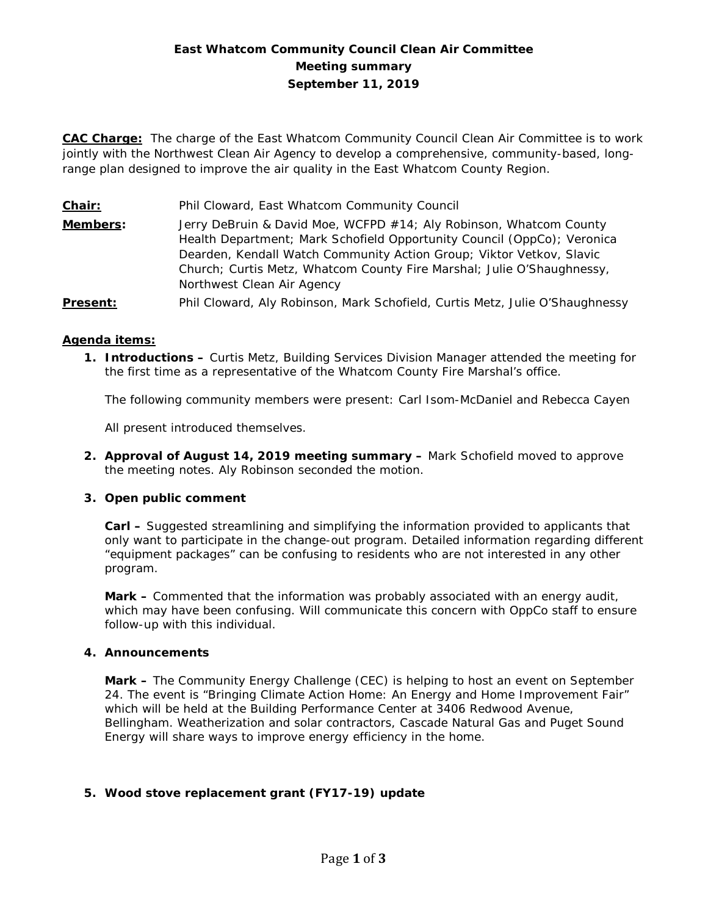# **East Whatcom Community Council Clean Air Committee Meeting summary September 11, 2019**

**CAC Charge:** The charge of the East Whatcom Community Council Clean Air Committee is to work jointly with the Northwest Clean Air Agency to develop a comprehensive, community-based, longrange plan designed to improve the air quality in the East Whatcom County Region.

**Chair:** Phil Cloward, East Whatcom Community Council **Members:** Jerry DeBruin & David Moe, WCFPD #14; Aly Robinson, Whatcom County Health Department; Mark Schofield Opportunity Council (OppCo); Veronica Dearden, Kendall Watch Community Action Group; Viktor Vetkov, Slavic Church; Curtis Metz, Whatcom County Fire Marshal; Julie O'Shaughnessy, Northwest Clean Air Agency **Present:** Phil Cloward, Aly Robinson, Mark Schofield, Curtis Metz, Julie O'Shaughnessy

#### **Agenda items:**

**1. Introductions –** Curtis Metz, Building Services Division Manager attended the meeting for the first time as a representative of the Whatcom County Fire Marshal's office.

The following community members were present: Carl Isom-McDaniel and Rebecca Cayen

All present introduced themselves.

**2. Approval of August 14, 2019 meeting summary –** Mark Schofield moved to approve the meeting notes. Aly Robinson seconded the motion.

#### **3. Open public comment**

**Carl –** Suggested streamlining and simplifying the information provided to applicants that only want to participate in the change-out program. Detailed information regarding different "equipment packages" can be confusing to residents who are not interested in any other program.

**Mark –** Commented that the information was probably associated with an energy audit, which may have been confusing. Will communicate this concern with OppCo staff to ensure follow-up with this individual.

#### **4. Announcements**

**Mark –** The Community Energy Challenge (CEC) is helping to host an event on September 24. The event is "Bringing Climate Action Home: An Energy and Home Improvement Fair" which will be held at the Building Performance Center at 3406 Redwood Avenue, Bellingham. Weatherization and solar contractors, Cascade Natural Gas and Puget Sound Energy will share ways to improve energy efficiency in the home.

# **5. Wood stove replacement grant (FY17-19) update**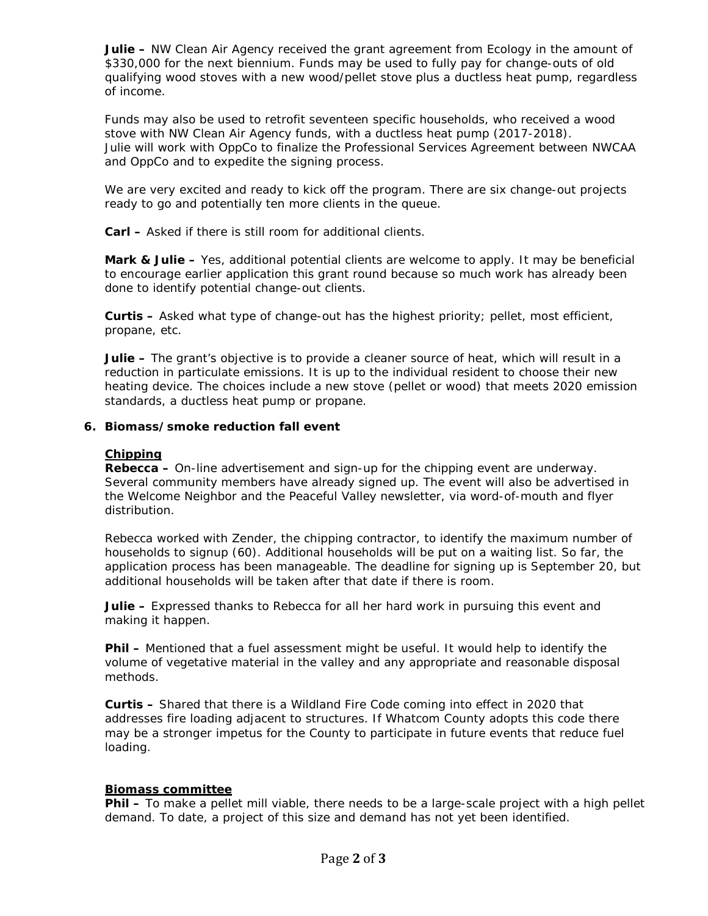**Julie –** NW Clean Air Agency received the grant agreement from Ecology in the amount of \$330,000 for the next biennium. Funds may be used to fully pay for change-outs of old qualifying wood stoves with a new wood/pellet stove *plus* a ductless heat pump, regardless of income.

Funds may also be used to retrofit seventeen specific households, who received a wood stove with NW Clean Air Agency funds, with a ductless heat pump (2017-2018). Julie will work with OppCo to finalize the Professional Services Agreement between NWCAA and OppCo and to expedite the signing process.

We are very excited and ready to kick off the program. There are six change-out projects ready to go and potentially ten more clients in the queue.

**Carl –** Asked if there is still room for additional clients.

**Mark & Julie –** Yes, additional potential clients are welcome to apply. It may be beneficial to encourage earlier application this grant round because so much work has already been done to identify potential change-out clients.

**Curtis –** Asked what type of change-out has the highest priority; pellet, most efficient, propane, etc.

**Julie –** The grant's objective is to provide a cleaner source of heat, which will result in a reduction in particulate emissions. It is up to the individual resident to choose their new heating device. The choices include a new stove (pellet or wood) that meets 2020 emission standards, a ductless heat pump or propane.

## **6. Biomass/smoke reduction fall event**

#### **Chipping**

**Rebecca –** On-line advertisement and sign-up for the chipping event are underway. Several community members have already signed up. The event will also be advertised in the Welcome Neighbor and the Peaceful Valley newsletter, via word-of-mouth and flyer distribution.

Rebecca worked with Zender, the chipping contractor, to identify the maximum number of households to signup (60). Additional households will be put on a waiting list. So far, the application process has been manageable. The deadline for signing up is September 20, but additional households will be taken after that date if there is room.

**Julie –** Expressed thanks to Rebecca for all her hard work in pursuing this event and making it happen.

**Phil –** Mentioned that a fuel assessment might be useful. It would help to identify the volume of vegetative material in the valley and any appropriate and reasonable disposal methods.

**Curtis –** Shared that there is a Wildland Fire Code coming into effect in 2020 that addresses fire loading adjacent to structures. If Whatcom County adopts this code there may be a stronger impetus for the County to participate in future events that reduce fuel loading.

#### **Biomass committee**

**Phil –** To make a pellet mill viable, there needs to be a large-scale project with a high pellet demand. To date, a project of this size and demand has not yet been identified.